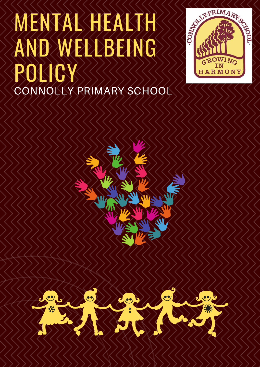# MENTAL HEALTH AND WELLBEING POLICY CONNOLLY PRIMARY SCHOOL





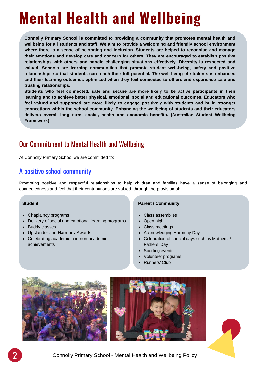## **Mental Health and Wellbeing**

**Connolly Primary School is committed to providing a community that promotes mental health and wellbeing for all students and staff. We aim to provide a welcoming and friendly school environment where there is a sense of belonging and inclusion. Students are helped to recognise and manage their emotions and develop care and concern for others. They are encouraged to establish positive relationships with others and handle challenging situations effectively. Diversity is respected and valued. Schools are learning communities that promote student well-being, safety and positive relationships so that students can reach their full potential. The well-being of students is enhanced and their learning outcomes optimised when they feel connected to others and experience safe and trusting relationships.**

**Students who feel connected, safe and secure are more likely to be active participants in their learning and to achieve better physical, emotional, social and educational outcomes. Educators who feel valued and supported are more likely to engage positively with students and build stronger connections within the school community. Enhancing the wellbeing of students and their educators delivers overall long term, social, health and economic benefits. (Australian Student Wellbeing Framework)**

#### Our Commitment to Mental Health and Wellbeing

At Connolly Primary School we are committed to:

#### A positive school community

Promoting positive and respectful relationships to help children and families have a sense of belonging and connectedness and feel that their contributions are valued, through the provision of:

#### **Student**

- Chaplaincy programs
- Delivery of social and emotional learning programs
- Buddy classes
- Upstander and Harmony Awards
- Celebrating academic and non-academic achievements

#### **Parent / Community**

- Class assemblies
- Open night
- Class meetings
- Acknowledging Harmony Day
- Celebration of special days such as Mothers' / Fathers' Day
- Sporting events
- Volunteer programs
- Runners' Club



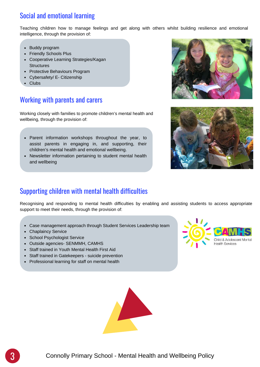## Social and emotional learning

Teaching children how to manage feelings and get along with others whilst building resilience and emotional intelligence, through the provision of:

- Buddy program
- Friendly Schools Plus
- Cooperative Learning Strategies/Kagan **Structures**
- Protective Behaviours Program
- Cybersafety/ E- Citizenship
- **Clubs**

#### Working with parents and carers

Working closely with families to promote children's mental health and wellbeing, through the provision of:

- Parent information workshops throughout the year, to assist parents in engaging in, and supporting, their children's mental health and emotional wellbeing.
- Newsletter information pertaining to student mental health and wellbeing





#### Supporting children with mental health difficulties

Recognising and responding to mental health difficulties by enabling and assisting students to access appropriate support to meet their needs, through the provision of:

- Case management approach through Student Services Leadership team
- Chaplaincy Service
- School Psychologist Service
- Outside agencies- SENMMH, CAMHS
- Staff trained in Youth Mental Health First Aid
- Staff trained in Gatekeepers suicide prevention
- Professional learning for staff on mental health